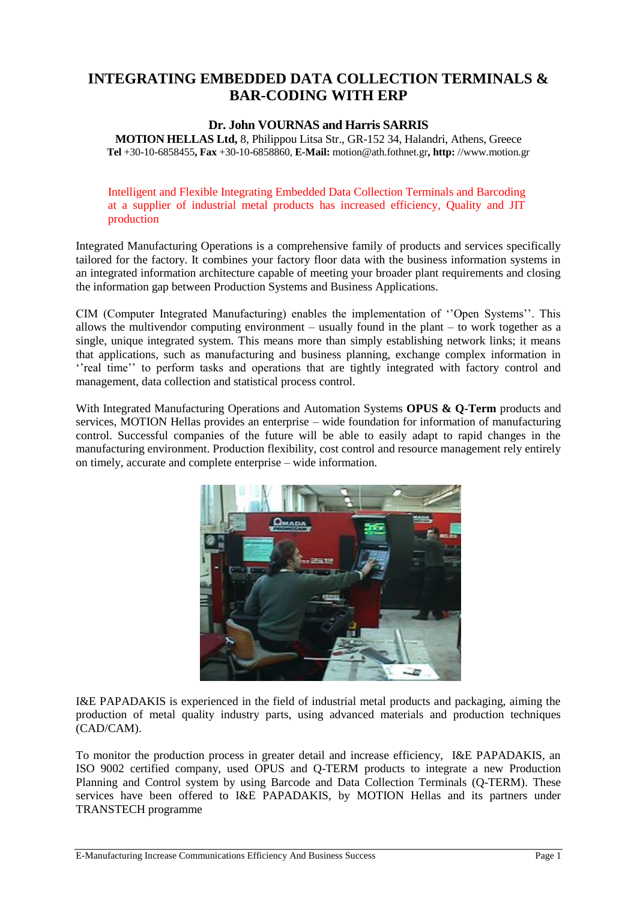## **INTEGRATING EMBEDDED DATA COLLECTION TERMINALS & BAR-CODING WITH ERP**

## **Dr. John VOURNAS and Harris SARRIS**

**MOTION HELLAS Ltd,** 8, Philippou Litsa Str., GR-152 34, Halandri, Athens, Greece **Tel** +30-10-6858455**, Fax** +30-10-6858860, **E-Mail:** motion@ath.fothnet.gr**, http:** //www.motion.gr

Intelligent and Flexible Integrating Embedded Data Collection Terminals and Barcoding at a supplier of industrial metal products has increased efficiency, Quality and JIT production

Integrated Manufacturing Operations is a comprehensive family of products and services specifically tailored for the factory. It combines your factory floor data with the business information systems in an integrated information architecture capable of meeting your broader plant requirements and closing the information gap between Production Systems and Business Applications.

CIM (Computer Integrated Manufacturing) enables the implementation of ''Open Systems''. This allows the multivendor computing environment – usually found in the plant – to work together as a single, unique integrated system. This means more than simply establishing network links; it means that applications, such as manufacturing and business planning, exchange complex information in ''real time'' to perform tasks and operations that are tightly integrated with factory control and management, data collection and statistical process control.

With Integrated Manufacturing Operations and Automation Systems **OPUS & Q-Term** products and services, MOTION Hellas provides an enterprise – wide foundation for information of manufacturing control. Successful companies of the future will be able to easily adapt to rapid changes in the manufacturing environment. Production flexibility, cost control and resource management rely entirely on timely, accurate and complete enterprise – wide information.



I&E PAPADAKIS is experienced in the field of industrial metal products and packaging, aiming the production of metal quality industry parts, using advanced materials and production techniques (CAD/CAM).

To monitor the production process in greater detail and increase efficiency, I&E PAPADAKIS, an ISO 9002 certified company, used OPUS and Q-TERM products to integrate a new Production Planning and Control system by using Barcode and Data Collection Terminals (Q-TERM). These services have been offered to I&E PAPADAKIS, by MOTION Hellas and its partners under TRANSTECH programme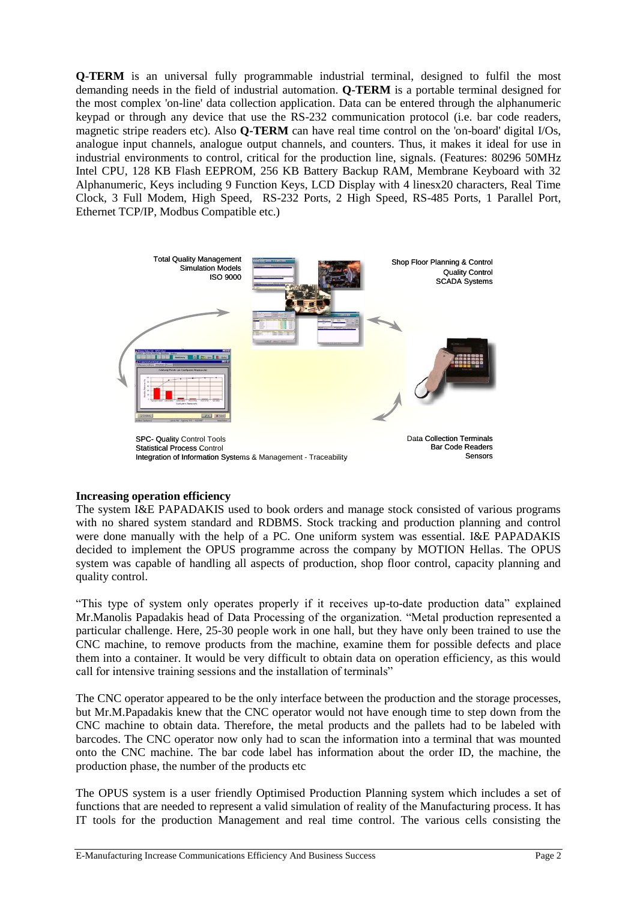**Q-TERM** is an universal fully programmable industrial terminal, designed to fulfil the most demanding needs in the field of industrial automation. **Q-TERM** is a portable terminal designed for the most complex 'on-line' data collection application. Data can be entered through the alphanumeric keypad or through any device that use the RS-232 communication protocol (i.e. bar code readers, magnetic stripe readers etc). Also **Q-TERM** can have real time control on the 'on-board' digital I/Os, analogue input channels, analogue output channels, and counters. Thus, it makes it ideal for use in industrial environments to control, critical for the production line, signals. (Features: 80296 50MHz Intel CPU, 128 KB Flash EEPROM, 256 KB Battery Backup RAM, Membrane Keyboard with 32 Alphanumeric, Keys including 9 Function Keys, LCD Display with 4 linesx20 characters, Real Time Clock, 3 Full Modem, High Speed, RS-232 Ports, 2 High Speed, RS-485 Ports, 1 Parallel Port, Ethernet TCP/IP, Modbus Compatible etc.)



## **Increasing operation efficiency**

The system I&E PAPADAKIS used to book orders and manage stock consisted of various programs with no shared system standard and RDBMS. Stock tracking and production planning and control were done manually with the help of a PC. One uniform system was essential. I&E PAPADAKIS decided to implement the OPUS programme across the company by MOTION Hellas. The OPUS system was capable of handling all aspects of production, shop floor control, capacity planning and quality control.

"This type of system only operates properly if it receives up-to-date production data" explained Mr.Manolis Papadakis head of Data Processing of the organization. "Metal production represented a particular challenge. Here, 25-30 people work in one hall, but they have only been trained to use the CNC machine, to remove products from the machine, examine them for possible defects and place them into a container. It would be very difficult to obtain data on operation efficiency, as this would call for intensive training sessions and the installation of terminals"

The CNC operator appeared to be the only interface between the production and the storage processes, but Mr.M.Papadakis knew that the CNC operator would not have enough time to step down from the CNC machine to obtain data. Therefore, the metal products and the pallets had to be labeled with barcodes. The CNC operator now only had to scan the information into a terminal that was mounted onto the CNC machine. The bar code label has information about the order ID, the machine, the production phase, the number of the products etc

The OPUS system is a user friendly Optimised Production Planning system which includes a set of functions that are needed to represent a valid simulation of reality of the Manufacturing process. It has IT tools for the production Management and real time control. The various cells consisting the